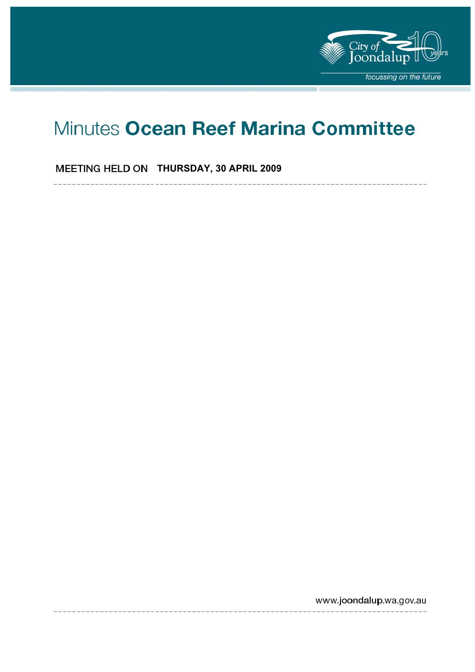

# Minutes Ocean Reef Marina Committee

# **MEETING HELD ON THURSDAY, 30 APRIL 2009**

www.joondalup.wa.gov.au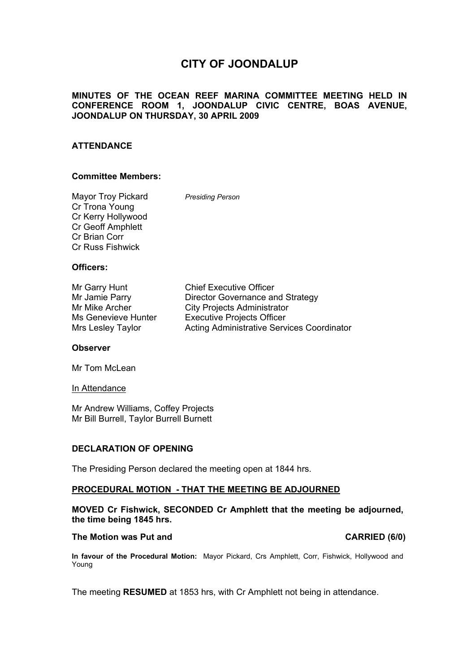# **CITY OF JOONDALUP**

#### **MINUTES OF THE OCEAN REEF MARINA COMMITTEE MEETING HELD IN CONFERENCE ROOM 1, JOONDALUP CIVIC CENTRE, BOAS AVENUE, JOONDALUP ON THURSDAY, 30 APRIL 2009**

#### **ATTENDANCE**

#### **Committee Members:**

Mayor Troy Pickard *Presiding Person*  Cr Trona Young Cr Kerry Hollywood Cr Geoff Amphlett Cr Brian Corr Cr Russ Fishwick

#### **Officers:**

| Mr Garry Hunt       | <b>Chief Executive Officer</b>                    |
|---------------------|---------------------------------------------------|
| Mr Jamie Parry      | Director Governance and Strategy                  |
| Mr Mike Archer      | <b>City Projects Administrator</b>                |
| Ms Genevieve Hunter | <b>Executive Projects Officer</b>                 |
| Mrs Lesley Taylor   | <b>Acting Administrative Services Coordinator</b> |

#### **Observer**

Mr Tom McLean

#### In Attendance

Mr Andrew Williams, Coffey Projects Mr Bill Burrell, Taylor Burrell Burnett

#### **DECLARATION OF OPENING**

The Presiding Person declared the meeting open at 1844 hrs.

#### **PROCEDURAL MOTION - THAT THE MEETING BE ADJOURNED**

#### **MOVED Cr Fishwick, SECONDED Cr Amphlett that the meeting be adjourned, the time being 1845 hrs.**

#### The Motion was Put and **CARRIED** (6/0)

**In favour of the Procedural Motion:** Mayor Pickard, Crs Amphlett, Corr, Fishwick, Hollywood and Young

The meeting **RESUMED** at 1853 hrs, with Cr Amphlett not being in attendance.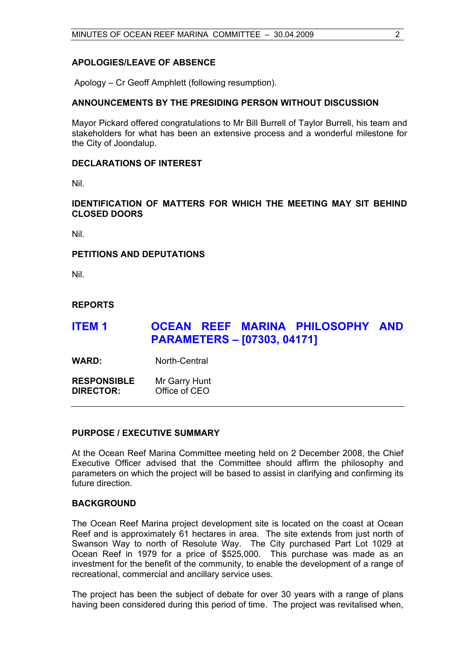#### **APOLOGIES/LEAVE OF ABSENCE**

Apology – Cr Geoff Amphlett (following resumption).

#### **ANNOUNCEMENTS BY THE PRESIDING PERSON WITHOUT DISCUSSION**

Mayor Pickard offered congratulations to Mr Bill Burrell of Taylor Burrell, his team and stakeholders for what has been an extensive process and a wonderful milestone for the City of Joondalup.

#### **DECLARATIONS OF INTEREST**

Nil.

**IDENTIFICATION OF MATTERS FOR WHICH THE MEETING MAY SIT BEHIND CLOSED DOORS** 

Nil.

#### **PETITIONS AND DEPUTATIONS**

Nil.

#### **REPORTS**

# **ITEM 1 OCEAN REEF MARINA PHILOSOPHY AND PARAMETERS – [07303, 04171]**

WARD: North-Central

**RESPONSIBLE** Mr Garry Hunt **DIRECTOR:** Office of CEO

#### **PURPOSE / EXECUTIVE SUMMARY**

At the Ocean Reef Marina Committee meeting held on 2 December 2008, the Chief Executive Officer advised that the Committee should affirm the philosophy and parameters on which the project will be based to assist in clarifying and confirming its future direction.

#### **BACKGROUND**

The Ocean Reef Marina project development site is located on the coast at Ocean Reef and is approximately 61 hectares in area. The site extends from just north of Swanson Way to north of Resolute Way. The City purchased Part Lot 1029 at Ocean Reef in 1979 for a price of \$525,000. This purchase was made as an investment for the benefit of the community, to enable the development of a range of recreational, commercial and ancillary service uses.

The project has been the subject of debate for over 30 years with a range of plans having been considered during this period of time. The project was revitalised when,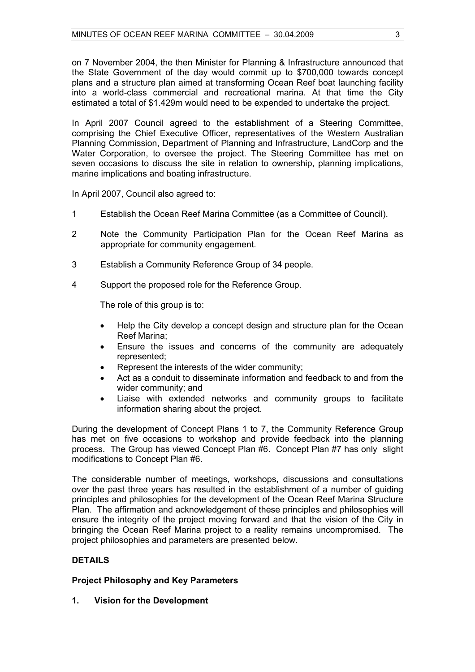on 7 November 2004, the then Minister for Planning & Infrastructure announced that the State Government of the day would commit up to \$700,000 towards concept plans and a structure plan aimed at transforming Ocean Reef boat launching facility into a world-class commercial and recreational marina. At that time the City estimated a total of \$1.429m would need to be expended to undertake the project.

In April 2007 Council agreed to the establishment of a Steering Committee, comprising the Chief Executive Officer, representatives of the Western Australian Planning Commission, Department of Planning and Infrastructure, LandCorp and the Water Corporation, to oversee the project. The Steering Committee has met on seven occasions to discuss the site in relation to ownership, planning implications, marine implications and boating infrastructure.

In April 2007, Council also agreed to:

- 1 Establish the Ocean Reef Marina Committee (as a Committee of Council).
- 2 Note the Community Participation Plan for the Ocean Reef Marina as appropriate for community engagement.
- 3 Establish a Community Reference Group of 34 people.
- 4 Support the proposed role for the Reference Group.

The role of this group is to:

- Help the City develop a concept design and structure plan for the Ocean Reef Marina;
- Ensure the issues and concerns of the community are adequately represented;
- Represent the interests of the wider community;
- Act as a conduit to disseminate information and feedback to and from the wider community; and
- Liaise with extended networks and community groups to facilitate information sharing about the project.

During the development of Concept Plans 1 to 7, the Community Reference Group has met on five occasions to workshop and provide feedback into the planning process. The Group has viewed Concept Plan #6. Concept Plan #7 has only slight modifications to Concept Plan #6.

The considerable number of meetings, workshops, discussions and consultations over the past three years has resulted in the establishment of a number of guiding principles and philosophies for the development of the Ocean Reef Marina Structure Plan. The affirmation and acknowledgement of these principles and philosophies will ensure the integrity of the project moving forward and that the vision of the City in bringing the Ocean Reef Marina project to a reality remains uncompromised. The project philosophies and parameters are presented below.

#### **DETAILS**

#### **Project Philosophy and Key Parameters**

**1. Vision for the Development**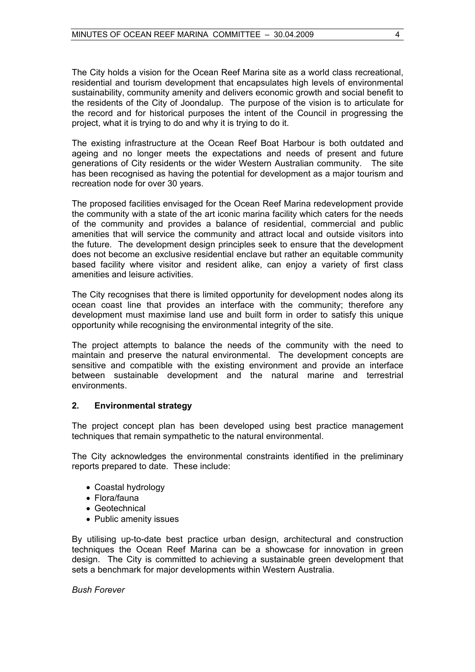The City holds a vision for the Ocean Reef Marina site as a world class recreational, residential and tourism development that encapsulates high levels of environmental sustainability, community amenity and delivers economic growth and social benefit to the residents of the City of Joondalup. The purpose of the vision is to articulate for the record and for historical purposes the intent of the Council in progressing the project, what it is trying to do and why it is trying to do it.

The existing infrastructure at the Ocean Reef Boat Harbour is both outdated and ageing and no longer meets the expectations and needs of present and future generations of City residents or the wider Western Australian community. The site has been recognised as having the potential for development as a major tourism and recreation node for over 30 years.

The proposed facilities envisaged for the Ocean Reef Marina redevelopment provide the community with a state of the art iconic marina facility which caters for the needs of the community and provides a balance of residential, commercial and public amenities that will service the community and attract local and outside visitors into the future. The development design principles seek to ensure that the development does not become an exclusive residential enclave but rather an equitable community based facility where visitor and resident alike, can enjoy a variety of first class amenities and leisure activities.

The City recognises that there is limited opportunity for development nodes along its ocean coast line that provides an interface with the community; therefore any development must maximise land use and built form in order to satisfy this unique opportunity while recognising the environmental integrity of the site.

The project attempts to balance the needs of the community with the need to maintain and preserve the natural environmental. The development concepts are sensitive and compatible with the existing environment and provide an interface between sustainable development and the natural marine and terrestrial environments.

#### **2. Environmental strategy**

The project concept plan has been developed using best practice management techniques that remain sympathetic to the natural environmental.

The City acknowledges the environmental constraints identified in the preliminary reports prepared to date. These include:

- Coastal hydrology
- Flora/fauna
- Geotechnical
- Public amenity issues

By utilising up-to-date best practice urban design, architectural and construction techniques the Ocean Reef Marina can be a showcase for innovation in green design. The City is committed to achieving a sustainable green development that sets a benchmark for major developments within Western Australia.

*Bush Forever*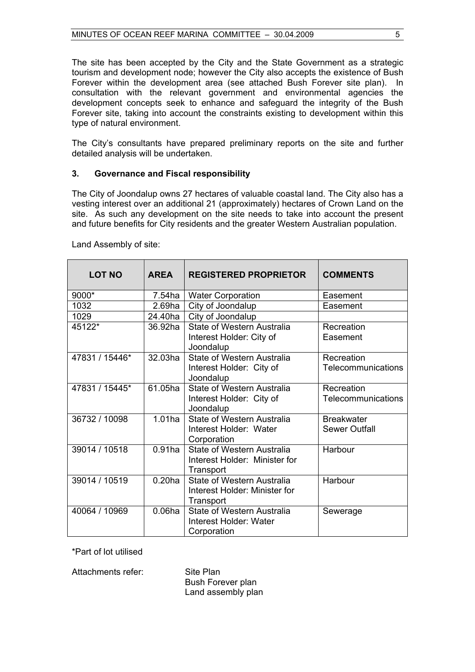The site has been accepted by the City and the State Government as a strategic tourism and development node; however the City also accepts the existence of Bush Forever within the development area (see attached Bush Forever site plan). In consultation with the relevant government and environmental agencies the development concepts seek to enhance and safeguard the integrity of the Bush Forever site, taking into account the constraints existing to development within this type of natural environment.

The City's consultants have prepared preliminary reports on the site and further detailed analysis will be undertaken.

#### **3. Governance and Fiscal responsibility**

The City of Joondalup owns 27 hectares of valuable coastal land. The City also has a vesting interest over an additional 21 (approximately) hectares of Crown Land on the site. As such any development on the site needs to take into account the present and future benefits for City residents and the greater Western Australian population.

| <b>LOT NO</b>  | <b>AREA</b>        | <b>REGISTERED PROPRIETOR</b>          | <b>COMMENTS</b>      |  |
|----------------|--------------------|---------------------------------------|----------------------|--|
| 9000*          | $7.54$ ha          | <b>Water Corporation</b>              | Easement             |  |
| 1032           | 2.69 <sub>ha</sub> | City of Joondalup                     | Easement             |  |
| 1029           | 24.40ha            | City of Joondalup                     |                      |  |
| 45122*         | 36.92ha            | State of Western Australia            | Recreation           |  |
|                |                    | Interest Holder: City of<br>Joondalup | Easement             |  |
| 47831 / 15446* | 32.03ha            | State of Western Australia            | Recreation           |  |
|                |                    | Interest Holder: City of<br>Joondalup | Telecommunications   |  |
| 47831 / 15445* | 61.05ha            | State of Western Australia            | Recreation           |  |
|                |                    | Interest Holder: City of              | Telecommunications   |  |
|                |                    | Joondalup                             |                      |  |
| 36732 / 10098  | $1.01$ ha          | <b>State of Western Australia</b>     | <b>Breakwater</b>    |  |
|                |                    | Interest Holder: Water<br>Corporation | <b>Sewer Outfall</b> |  |
| 39014 / 10518  | $0.91$ ha          | State of Western Australia            | Harbour              |  |
|                |                    | Interest Holder: Minister for         |                      |  |
|                |                    | Transport                             |                      |  |
| 39014 / 10519  | 0.20 <sub>ha</sub> | State of Western Australia            | Harbour              |  |
|                |                    | Interest Holder: Minister for         |                      |  |
|                |                    | Transport                             |                      |  |
| 40064 / 10969  | 0.06 <sub>ha</sub> | State of Western Australia            | Sewerage             |  |
|                |                    | Interest Holder: Water                |                      |  |
|                |                    | Corporation                           |                      |  |

Land Assembly of site:

\*Part of lot utilised

Attachments refer: Site Plan

 Bush Forever plan Land assembly plan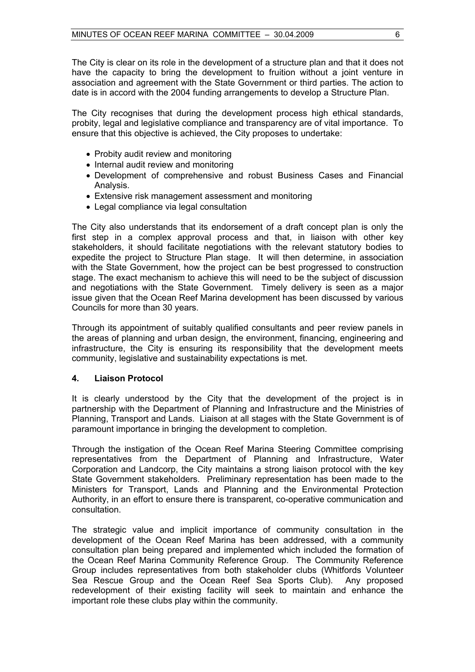The City is clear on its role in the development of a structure plan and that it does not have the capacity to bring the development to fruition without a joint venture in association and agreement with the State Government or third parties. The action to date is in accord with the 2004 funding arrangements to develop a Structure Plan.

The City recognises that during the development process high ethical standards, probity, legal and legislative compliance and transparency are of vital importance. To ensure that this objective is achieved, the City proposes to undertake:

- Probity audit review and monitoring
- Internal audit review and monitoring
- Development of comprehensive and robust Business Cases and Financial Analysis.
- Extensive risk management assessment and monitoring
- Legal compliance via legal consultation

The City also understands that its endorsement of a draft concept plan is only the first step in a complex approval process and that, in liaison with other key stakeholders, it should facilitate negotiations with the relevant statutory bodies to expedite the project to Structure Plan stage. It will then determine, in association with the State Government, how the project can be best progressed to construction stage. The exact mechanism to achieve this will need to be the subject of discussion and negotiations with the State Government. Timely delivery is seen as a major issue given that the Ocean Reef Marina development has been discussed by various Councils for more than 30 years.

Through its appointment of suitably qualified consultants and peer review panels in the areas of planning and urban design, the environment, financing, engineering and infrastructure, the City is ensuring its responsibility that the development meets community, legislative and sustainability expectations is met.

#### **4. Liaison Protocol**

It is clearly understood by the City that the development of the project is in partnership with the Department of Planning and Infrastructure and the Ministries of Planning, Transport and Lands. Liaison at all stages with the State Government is of paramount importance in bringing the development to completion.

Through the instigation of the Ocean Reef Marina Steering Committee comprising representatives from the Department of Planning and Infrastructure, Water Corporation and Landcorp, the City maintains a strong liaison protocol with the key State Government stakeholders. Preliminary representation has been made to the Ministers for Transport, Lands and Planning and the Environmental Protection Authority, in an effort to ensure there is transparent, co-operative communication and consultation.

The strategic value and implicit importance of community consultation in the development of the Ocean Reef Marina has been addressed, with a community consultation plan being prepared and implemented which included the formation of the Ocean Reef Marina Community Reference Group. The Community Reference Group includes representatives from both stakeholder clubs (Whitfords Volunteer Sea Rescue Group and the Ocean Reef Sea Sports Club). Any proposed redevelopment of their existing facility will seek to maintain and enhance the important role these clubs play within the community.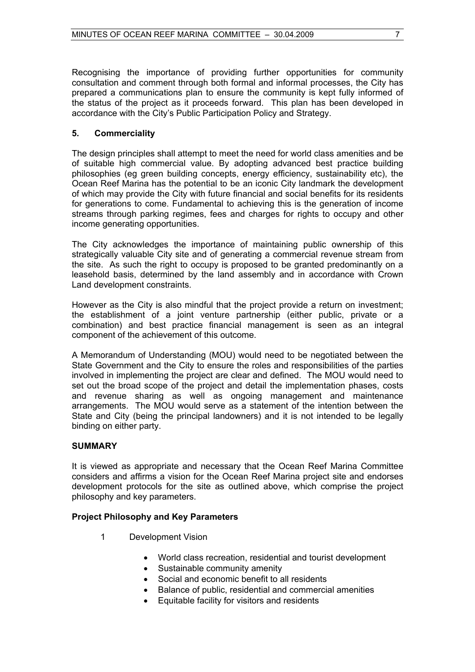Recognising the importance of providing further opportunities for community consultation and comment through both formal and informal processes, the City has prepared a communications plan to ensure the community is kept fully informed of the status of the project as it proceeds forward. This plan has been developed in accordance with the City's Public Participation Policy and Strategy.

### **5. Commerciality**

The design principles shall attempt to meet the need for world class amenities and be of suitable high commercial value. By adopting advanced best practice building philosophies (eg green building concepts, energy efficiency, sustainability etc), the Ocean Reef Marina has the potential to be an iconic City landmark the development of which may provide the City with future financial and social benefits for its residents for generations to come. Fundamental to achieving this is the generation of income streams through parking regimes, fees and charges for rights to occupy and other income generating opportunities.

The City acknowledges the importance of maintaining public ownership of this strategically valuable City site and of generating a commercial revenue stream from the site. As such the right to occupy is proposed to be granted predominantly on a leasehold basis, determined by the land assembly and in accordance with Crown Land development constraints.

However as the City is also mindful that the project provide a return on investment; the establishment of a joint venture partnership (either public, private or a combination) and best practice financial management is seen as an integral component of the achievement of this outcome.

A Memorandum of Understanding (MOU) would need to be negotiated between the State Government and the City to ensure the roles and responsibilities of the parties involved in implementing the project are clear and defined. The MOU would need to set out the broad scope of the project and detail the implementation phases, costs and revenue sharing as well as ongoing management and maintenance arrangements. The MOU would serve as a statement of the intention between the State and City (being the principal landowners) and it is not intended to be legally binding on either party.

#### **SUMMARY**

It is viewed as appropriate and necessary that the Ocean Reef Marina Committee considers and affirms a vision for the Ocean Reef Marina project site and endorses development protocols for the site as outlined above, which comprise the project philosophy and key parameters.

#### **Project Philosophy and Key Parameters**

- 1 Development Vision
	- World class recreation, residential and tourist development
	- Sustainable community amenity
	- Social and economic benefit to all residents
	- Balance of public, residential and commercial amenities
	- Equitable facility for visitors and residents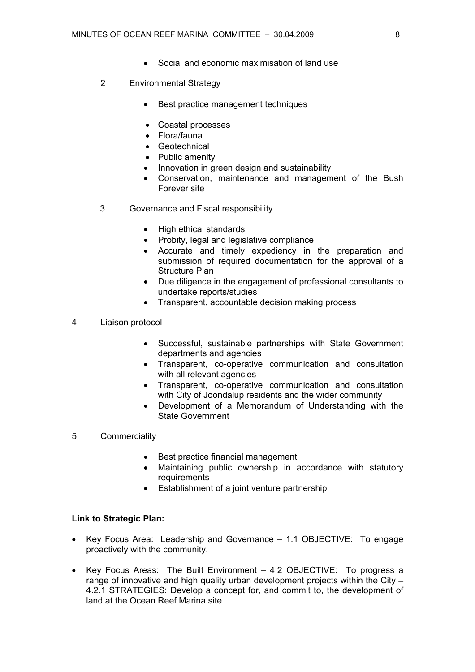- Social and economic maximisation of land use
- 2 Environmental Strategy
	- Best practice management techniques
	- Coastal processes
	- Flora/fauna
	- Geotechnical
	- Public amenity
	- Innovation in green design and sustainability
	- Conservation, maintenance and management of the Bush Forever site
- 3 Governance and Fiscal responsibility
	- High ethical standards
	- Probity, legal and legislative compliance
	- Accurate and timely expediency in the preparation and submission of required documentation for the approval of a Structure Plan
	- Due diligence in the engagement of professional consultants to undertake reports/studies
	- Transparent, accountable decision making process
- 4 Liaison protocol
	- Successful, sustainable partnerships with State Government departments and agencies
	- Transparent, co-operative communication and consultation with all relevant agencies
	- Transparent, co-operative communication and consultation with City of Joondalup residents and the wider community
	- Development of a Memorandum of Understanding with the State Government
- 5 Commerciality
	- Best practice financial management
	- Maintaining public ownership in accordance with statutory requirements
	- Establishment of a joint venture partnership

#### **Link to Strategic Plan:**

- Key Focus Area: Leadership and Governance 1.1 OBJECTIVE: To engage proactively with the community.
- Key Focus Areas: The Built Environment 4.2 OBJECTIVE: To progress a range of innovative and high quality urban development projects within the City – 4.2.1 STRATEGIES: Develop a concept for, and commit to, the development of land at the Ocean Reef Marina site.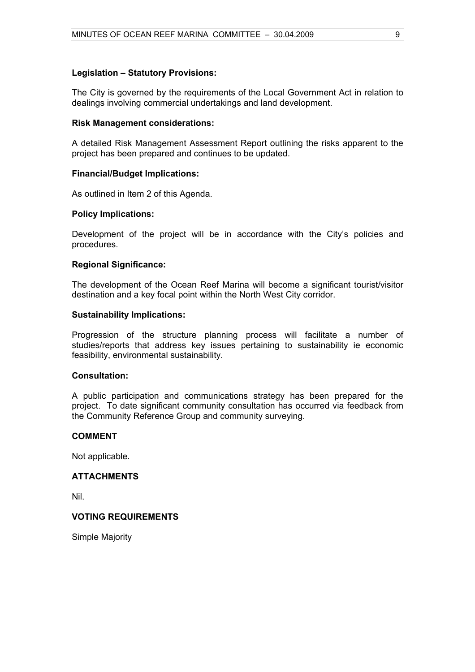#### **Legislation – Statutory Provisions:**

The City is governed by the requirements of the Local Government Act in relation to dealings involving commercial undertakings and land development.

#### **Risk Management considerations:**

A detailed Risk Management Assessment Report outlining the risks apparent to the project has been prepared and continues to be updated.

#### **Financial/Budget Implications:**

As outlined in Item 2 of this Agenda.

#### **Policy Implications:**

Development of the project will be in accordance with the City's policies and procedures.

#### **Regional Significance:**

The development of the Ocean Reef Marina will become a significant tourist/visitor destination and a key focal point within the North West City corridor.

#### **Sustainability Implications:**

Progression of the structure planning process will facilitate a number of studies/reports that address key issues pertaining to sustainability ie economic feasibility, environmental sustainability.

#### **Consultation:**

A public participation and communications strategy has been prepared for the project. To date significant community consultation has occurred via feedback from the Community Reference Group and community surveying.

#### **COMMENT**

Not applicable.

#### **ATTACHMENTS**

Nil.

#### **VOTING REQUIREMENTS**

Simple Majority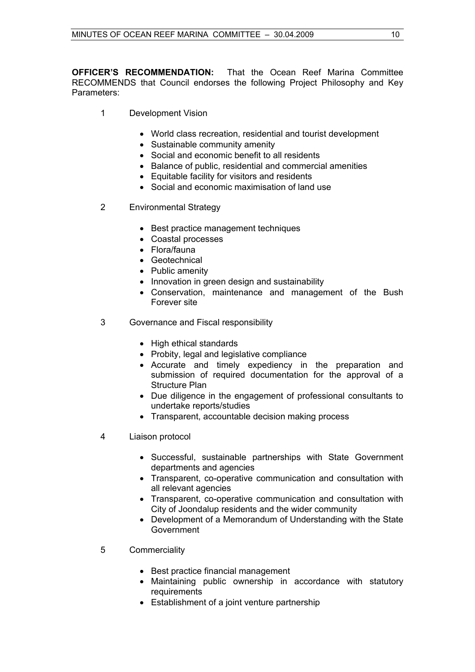**OFFICER'S RECOMMENDATION:** That the Ocean Reef Marina Committee RECOMMENDS that Council endorses the following Project Philosophy and Key Parameters:

- 1 Development Vision
	- World class recreation, residential and tourist development
	- Sustainable community amenity
	- Social and economic benefit to all residents
	- Balance of public, residential and commercial amenities
	- Equitable facility for visitors and residents
	- Social and economic maximisation of land use
- 2 Environmental Strategy
	- Best practice management techniques
	- Coastal processes
	- Flora/fauna
	- Geotechnical
	- Public amenity
	- Innovation in green design and sustainability
	- Conservation, maintenance and management of the Bush Forever site
- 3 Governance and Fiscal responsibility
	- High ethical standards
	- Probity, legal and legislative compliance
	- Accurate and timely expediency in the preparation and submission of required documentation for the approval of a Structure Plan
	- Due diligence in the engagement of professional consultants to undertake reports/studies
	- Transparent, accountable decision making process
- 4 Liaison protocol
	- Successful, sustainable partnerships with State Government departments and agencies
	- Transparent, co-operative communication and consultation with all relevant agencies
	- Transparent, co-operative communication and consultation with City of Joondalup residents and the wider community
	- Development of a Memorandum of Understanding with the State Government
- 5 Commerciality
	- Best practice financial management
	- Maintaining public ownership in accordance with statutory requirements
	- Establishment of a joint venture partnership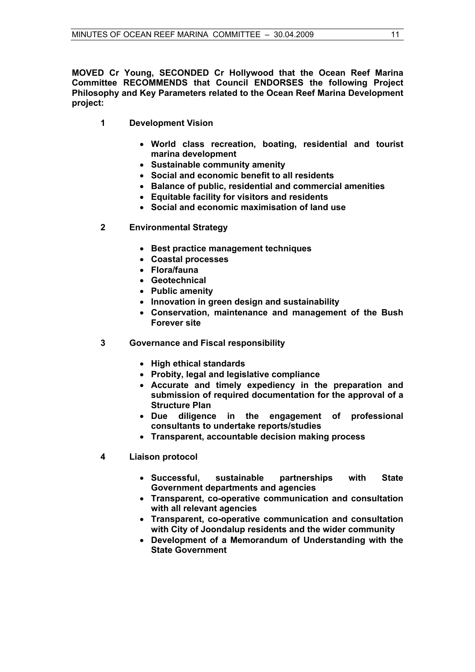**MOVED Cr Young, SECONDED Cr Hollywood that the Ocean Reef Marina Committee RECOMMENDS that Council ENDORSES the following Project Philosophy and Key Parameters related to the Ocean Reef Marina Development project:** 

- **1 Development Vision** 
	- **World class recreation, boating, residential and tourist marina development**
	- **Sustainable community amenity**
	- **Social and economic benefit to all residents**
	- **Balance of public, residential and commercial amenities**
	- **Equitable facility for visitors and residents**
	- **Social and economic maximisation of land use**
- **2 Environmental Strategy** 
	- **Best practice management techniques**
	- **Coastal processes**
	- **Flora/fauna**
	- **Geotechnical**
	- **Public amenity**
	- **Innovation in green design and sustainability**
	- **Conservation, maintenance and management of the Bush Forever site**
- **3 Governance and Fiscal responsibility** 
	- **High ethical standards**
	- **Probity, legal and legislative compliance**
	- **Accurate and timely expediency in the preparation and submission of required documentation for the approval of a Structure Plan**
	- **Due diligence in the engagement of professional consultants to undertake reports/studies**
	- **Transparent, accountable decision making process**
- **4 Liaison protocol** 
	- **Successful, sustainable partnerships with State Government departments and agencies**
	- **Transparent, co-operative communication and consultation with all relevant agencies**
	- **Transparent, co-operative communication and consultation with City of Joondalup residents and the wider community**
	- **Development of a Memorandum of Understanding with the State Government**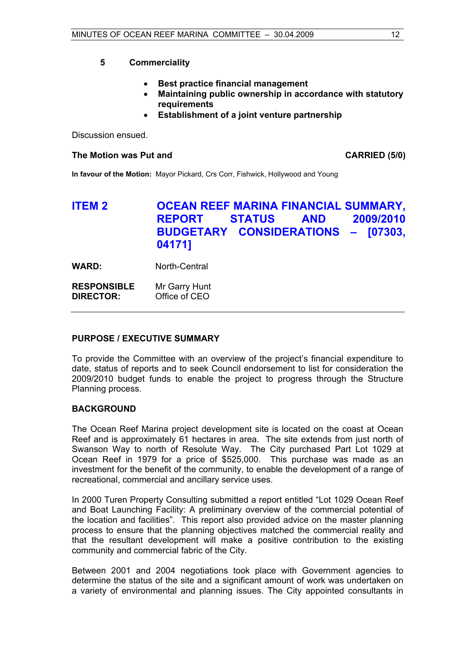**5 Commerciality** 

- **Best practice financial management**
- **Maintaining public ownership in accordance with statutory requirements**
- **Establishment of a joint venture partnership**

Discussion ensued.

#### The Motion was Put and **CARRIED** (5/0)

**In favour of the Motion:** Mayor Pickard, Crs Corr, Fishwick, Hollywood and Young

# **ITEM 2 OCEAN REEF MARINA FINANCIAL SUMMARY, REPORT STATUS AND 2009/2010 BUDGETARY CONSIDERATIONS – [07303, 04171]**

**WARD:** North-Central

**RESPONSIBLE** Mr Garry Hunt **DIRECTOR:** Office of CEO

#### **PURPOSE / EXECUTIVE SUMMARY**

To provide the Committee with an overview of the project's financial expenditure to date, status of reports and to seek Council endorsement to list for consideration the 2009/2010 budget funds to enable the project to progress through the Structure Planning process.

#### **BACKGROUND**

The Ocean Reef Marina project development site is located on the coast at Ocean Reef and is approximately 61 hectares in area. The site extends from just north of Swanson Way to north of Resolute Way. The City purchased Part Lot 1029 at Ocean Reef in 1979 for a price of \$525,000. This purchase was made as an investment for the benefit of the community, to enable the development of a range of recreational, commercial and ancillary service uses.

In 2000 Turen Property Consulting submitted a report entitled "Lot 1029 Ocean Reef and Boat Launching Facility: A preliminary overview of the commercial potential of the location and facilities". This report also provided advice on the master planning process to ensure that the planning objectives matched the commercial reality and that the resultant development will make a positive contribution to the existing community and commercial fabric of the City.

Between 2001 and 2004 negotiations took place with Government agencies to determine the status of the site and a significant amount of work was undertaken on a variety of environmental and planning issues. The City appointed consultants in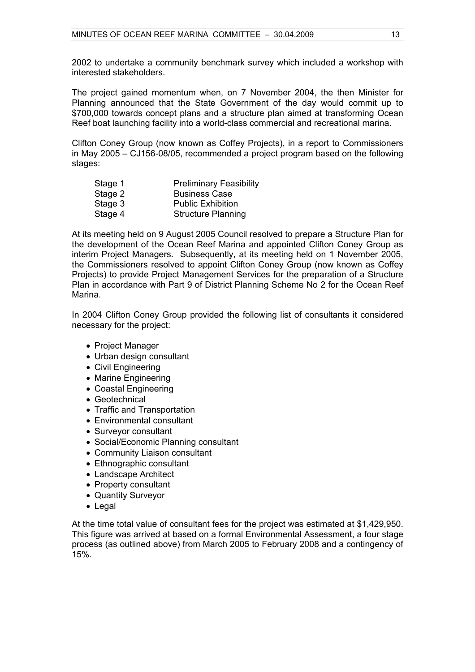2002 to undertake a community benchmark survey which included a workshop with interested stakeholders.

The project gained momentum when, on 7 November 2004, the then Minister for Planning announced that the State Government of the day would commit up to \$700,000 towards concept plans and a structure plan aimed at transforming Ocean Reef boat launching facility into a world-class commercial and recreational marina.

Clifton Coney Group (now known as Coffey Projects), in a report to Commissioners in May 2005 – CJ156-08/05, recommended a project program based on the following stages:

| Stage 1 | <b>Preliminary Feasibility</b> |
|---------|--------------------------------|
| Stage 2 | <b>Business Case</b>           |
| Stage 3 | <b>Public Exhibition</b>       |
| Stage 4 | <b>Structure Planning</b>      |

At its meeting held on 9 August 2005 Council resolved to prepare a Structure Plan for the development of the Ocean Reef Marina and appointed Clifton Coney Group as interim Project Managers. Subsequently, at its meeting held on 1 November 2005, the Commissioners resolved to appoint Clifton Coney Group (now known as Coffey Projects) to provide Project Management Services for the preparation of a Structure Plan in accordance with Part 9 of District Planning Scheme No 2 for the Ocean Reef Marina.

In 2004 Clifton Coney Group provided the following list of consultants it considered necessary for the project:

- Project Manager
- Urban design consultant
- Civil Engineering
- Marine Engineering
- Coastal Engineering
- Geotechnical
- Traffic and Transportation
- Environmental consultant
- Surveyor consultant
- Social/Economic Planning consultant
- Community Liaison consultant
- Ethnographic consultant
- Landscape Architect
- Property consultant
- Quantity Surveyor
- Legal

At the time total value of consultant fees for the project was estimated at \$1,429,950. This figure was arrived at based on a formal Environmental Assessment, a four stage process (as outlined above) from March 2005 to February 2008 and a contingency of 15%.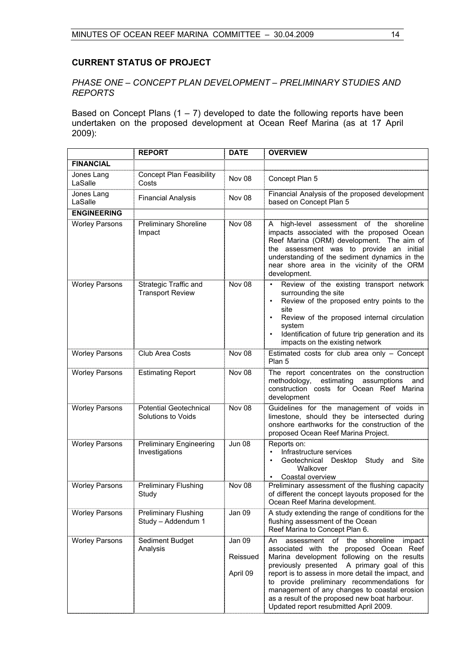#### **CURRENT STATUS OF PROJECT**

#### *PHASE ONE – CONCEPT PLAN DEVELOPMENT – PRELIMINARY STUDIES AND REPORTS*

Based on Concept Plans  $(1 – 7)$  developed to date the following reports have been undertaken on the proposed development at Ocean Reef Marina (as at 17 April 2009):

|                       | <b>REPORT</b>                                           | <b>DATE</b>                    | <b>OVERVIEW</b>                                                                                                                                                                                                                                                                                                                                                                                                                              |
|-----------------------|---------------------------------------------------------|--------------------------------|----------------------------------------------------------------------------------------------------------------------------------------------------------------------------------------------------------------------------------------------------------------------------------------------------------------------------------------------------------------------------------------------------------------------------------------------|
| <b>FINANCIAL</b>      |                                                         |                                |                                                                                                                                                                                                                                                                                                                                                                                                                                              |
| Jones Lang<br>LaSalle | <b>Concept Plan Feasibility</b><br>Costs                | Nov 08                         | Concept Plan 5                                                                                                                                                                                                                                                                                                                                                                                                                               |
| Jones Lang<br>LaSalle | <b>Financial Analysis</b>                               | Nov 08                         | Financial Analysis of the proposed development<br>based on Concept Plan 5                                                                                                                                                                                                                                                                                                                                                                    |
| <b>ENGINEERING</b>    |                                                         |                                |                                                                                                                                                                                                                                                                                                                                                                                                                                              |
| <b>Worley Parsons</b> | <b>Preliminary Shoreline</b><br>Impact                  | Nov 08                         | high-level assessment of the shoreline<br>A<br>impacts associated with the proposed Ocean<br>Reef Marina (ORM) development. The aim of<br>the assessment was to provide an initial<br>understanding of the sediment dynamics in the<br>near shore area in the vicinity of the ORM<br>development.                                                                                                                                            |
| <b>Worley Parsons</b> | <b>Strategic Traffic and</b><br><b>Transport Review</b> | Nov 08                         | Review of the existing transport network<br>$\bullet$<br>surrounding the site<br>Review of the proposed entry points to the<br>site<br>Review of the proposed internal circulation<br>system<br>Identification of future trip generation and its<br>impacts on the existing network                                                                                                                                                          |
| <b>Worley Parsons</b> | Club Area Costs                                         | Nov 08                         | Estimated costs for club area only - Concept<br>Plan 5                                                                                                                                                                                                                                                                                                                                                                                       |
| <b>Worley Parsons</b> | <b>Estimating Report</b>                                | Nov 08                         | The report concentrates on the construction<br>estimating assumptions<br>methodology,<br>and<br>construction costs for Ocean Reef Marina<br>development                                                                                                                                                                                                                                                                                      |
| <b>Worley Parsons</b> | <b>Potential Geotechnical</b><br>Solutions to Voids     | Nov 08                         | Guidelines for the management of voids in<br>limestone, should they be intersected during<br>onshore earthworks for the construction of the<br>proposed Ocean Reef Marina Project.                                                                                                                                                                                                                                                           |
| <b>Worley Parsons</b> | <b>Preliminary Engineering</b><br>Investigations        | <b>Jun 08</b>                  | Reports on:<br>Infrastructure services<br>$\bullet$<br>Study and<br>Geotechnical Desktop<br>Site<br>$\bullet$<br>Walkover<br>Coastal overview                                                                                                                                                                                                                                                                                                |
| <b>Worley Parsons</b> | <b>Preliminary Flushing</b><br>Study                    | Nov 08                         | Preliminary assessment of the flushing capacity<br>of different the concept layouts proposed for the<br>Ocean Reef Marina development.                                                                                                                                                                                                                                                                                                       |
| <b>Worley Parsons</b> | <b>Preliminary Flushing</b><br>Study - Addendum 1       | Jan 09                         | A study extending the range of conditions for the<br>flushing assessment of the Ocean<br>Reef Marina to Concept Plan 6.                                                                                                                                                                                                                                                                                                                      |
| <b>Worley Parsons</b> | Sediment Budget<br>Analysis                             | Jan 09<br>Reissued<br>April 09 | of the<br>shoreline<br>impact<br>An<br>assessment<br>associated with the proposed Ocean Reef<br>Marina development following on the results<br>A primary goal of this<br>previously presented<br>report is to assess in more detail the impact, and<br>to provide preliminary recommendations for<br>management of any changes to coastal erosion<br>as a result of the proposed new boat harbour.<br>Updated report resubmitted April 2009. |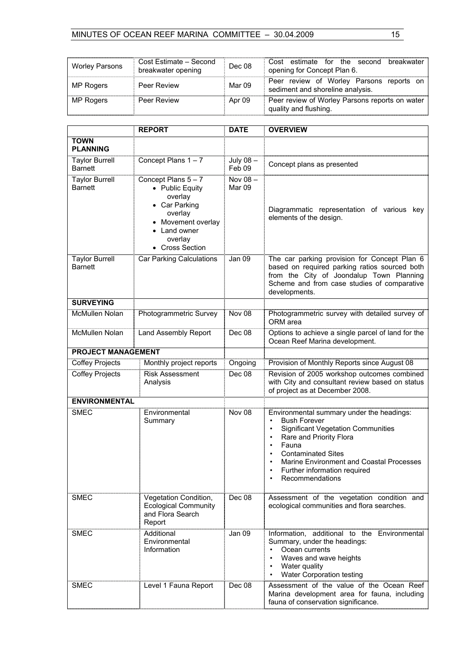| <b>Worley Parsons</b> | Cost Estimate - Second<br>breakwater opening | Dec 08 | Cost estimate for the second<br>breakwater<br>opening for Concept Plan 6.    |
|-----------------------|----------------------------------------------|--------|------------------------------------------------------------------------------|
| MP Rogers             | Peer Review                                  | Mar 09 | Peer review of Worley Parsons reports on<br>sediment and shoreline analysis. |
| MP Rogers             | Peer Review                                  | Apr 09 | Peer review of Worley Parsons reports on water<br>quality and flushing.      |

|                                         | <b>REPORT</b>                                                                                                                                   | <b>DATE</b>        | <b>OVERVIEW</b>                                                                                                                                                                                                                                                                                                                   |
|-----------------------------------------|-------------------------------------------------------------------------------------------------------------------------------------------------|--------------------|-----------------------------------------------------------------------------------------------------------------------------------------------------------------------------------------------------------------------------------------------------------------------------------------------------------------------------------|
| <b>TOWN</b><br><b>PLANNING</b>          |                                                                                                                                                 |                    |                                                                                                                                                                                                                                                                                                                                   |
| <b>Taylor Burrell</b><br><b>Barnett</b> | Concept Plans 1-7                                                                                                                               | July 08-<br>Feb 09 | Concept plans as presented                                                                                                                                                                                                                                                                                                        |
| <b>Taylor Burrell</b><br><b>Barnett</b> | Concept Plans 5-7<br>• Public Equity<br>overlay<br>• Car Parking<br>overlay<br>• Movement overlay<br>• Land owner<br>overlay<br>• Cross Section | Nov 08-<br>Mar 09  | Diagrammatic representation of various key<br>elements of the design.                                                                                                                                                                                                                                                             |
| <b>Taylor Burrell</b><br><b>Barnett</b> | Car Parking Calculations                                                                                                                        | Jan 09             | The car parking provision for Concept Plan 6<br>based on required parking ratios sourced both<br>from the City of Joondalup Town Planning<br>Scheme and from case studies of comparative<br>developments.                                                                                                                         |
| <b>SURVEYING</b>                        |                                                                                                                                                 |                    |                                                                                                                                                                                                                                                                                                                                   |
| <b>McMullen Nolan</b>                   | Photogrammetric Survey                                                                                                                          | Nov 08             | Photogrammetric survey with detailed survey of<br>ORM area                                                                                                                                                                                                                                                                        |
| McMullen Nolan                          | Land Assembly Report                                                                                                                            | Dec 08             | Options to achieve a single parcel of land for the<br>Ocean Reef Marina development.                                                                                                                                                                                                                                              |
| <b>PROJECT MANAGEMENT</b>               |                                                                                                                                                 |                    |                                                                                                                                                                                                                                                                                                                                   |
| <b>Coffey Projects</b>                  | Monthly project reports                                                                                                                         | Ongoing            | Provision of Monthly Reports since August 08                                                                                                                                                                                                                                                                                      |
| <b>Coffey Projects</b>                  | <b>Risk Assessment</b><br>Analysis                                                                                                              | Dec 08             | Revision of 2005 workshop outcomes combined<br>with City and consultant review based on status<br>of project as at December 2008.                                                                                                                                                                                                 |
| <b>ENVIRONMENTAL</b>                    |                                                                                                                                                 |                    |                                                                                                                                                                                                                                                                                                                                   |
| <b>SMEC</b>                             | Environmental<br>Summary                                                                                                                        | Nov 08             | Environmental summary under the headings:<br><b>Bush Forever</b><br>$\bullet$<br><b>Significant Vegetation Communities</b><br>$\bullet$<br>Rare and Priority Flora<br>Fauna<br>$\bullet$<br><b>Contaminated Sites</b><br>Marine Environment and Coastal Processes<br>$\bullet$<br>Further information required<br>Recommendations |
| <b>SMEC</b>                             | Vegetation Condition,<br><b>Ecological Community</b><br>and Flora Search<br>Report                                                              | Dec 08             | Assessment of the vegetation condition and<br>ecological communities and flora searches.                                                                                                                                                                                                                                          |
| <b>SMEC</b>                             | Additional<br>Environmental<br>Information                                                                                                      | Jan 09             | Information, additional to the Environmental<br>Summary, under the headings:<br>Ocean currents<br>$\bullet$<br>Waves and wave heights<br>Water quality<br>Water Corporation testing                                                                                                                                               |
| <b>SMEC</b>                             | Level 1 Fauna Report                                                                                                                            | Dec 08             | Assessment of the value of the Ocean Reef<br>Marina development area for fauna, including<br>fauna of conservation significance.                                                                                                                                                                                                  |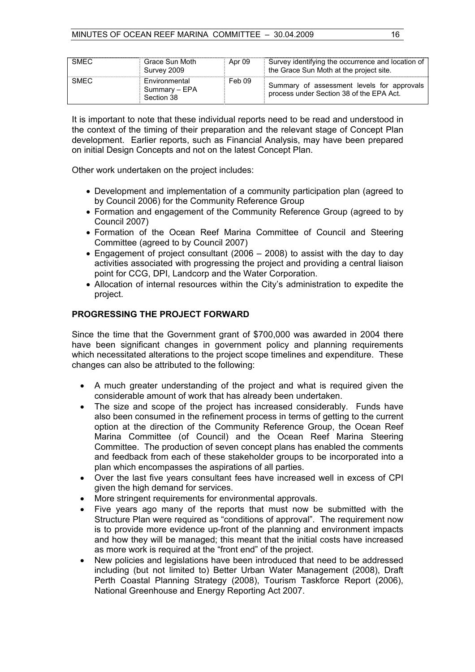| <b>SMEC</b> | Grace Sun Moth<br>Survey 2009                | Apr 09 | Survey identifying the occurrence and location of<br>the Grace Sun Moth at the project site. |
|-------------|----------------------------------------------|--------|----------------------------------------------------------------------------------------------|
| SMEC        | Environmental<br>Summary - EPA<br>Section 38 | Feb 09 | Summary of assessment levels for approvals<br>process under Section 38 of the EPA Act.       |

It is important to note that these individual reports need to be read and understood in the context of the timing of their preparation and the relevant stage of Concept Plan development. Earlier reports, such as Financial Analysis, may have been prepared on initial Design Concepts and not on the latest Concept Plan.

Other work undertaken on the project includes:

- Development and implementation of a community participation plan (agreed to by Council 2006) for the Community Reference Group
- Formation and engagement of the Community Reference Group (agreed to by Council 2007)
- Formation of the Ocean Reef Marina Committee of Council and Steering Committee (agreed to by Council 2007)
- Engagement of project consultant (2006 2008) to assist with the day to day activities associated with progressing the project and providing a central liaison point for CCG, DPI, Landcorp and the Water Corporation.
- Allocation of internal resources within the City's administration to expedite the project.

#### **PROGRESSING THE PROJECT FORWARD**

Since the time that the Government grant of \$700,000 was awarded in 2004 there have been significant changes in government policy and planning requirements which necessitated alterations to the project scope timelines and expenditure. These changes can also be attributed to the following:

- A much greater understanding of the project and what is required given the considerable amount of work that has already been undertaken.
- The size and scope of the project has increased considerably. Funds have also been consumed in the refinement process in terms of getting to the current option at the direction of the Community Reference Group, the Ocean Reef Marina Committee (of Council) and the Ocean Reef Marina Steering Committee. The production of seven concept plans has enabled the comments and feedback from each of these stakeholder groups to be incorporated into a plan which encompasses the aspirations of all parties.
- Over the last five years consultant fees have increased well in excess of CPI given the high demand for services.
- More stringent requirements for environmental approvals.
- Five years ago many of the reports that must now be submitted with the Structure Plan were required as "conditions of approval". The requirement now is to provide more evidence up-front of the planning and environment impacts and how they will be managed; this meant that the initial costs have increased as more work is required at the "front end" of the project.
- New policies and legislations have been introduced that need to be addressed including (but not limited to) Better Urban Water Management (2008), Draft Perth Coastal Planning Strategy (2008), Tourism Taskforce Report (2006), National Greenhouse and Energy Reporting Act 2007.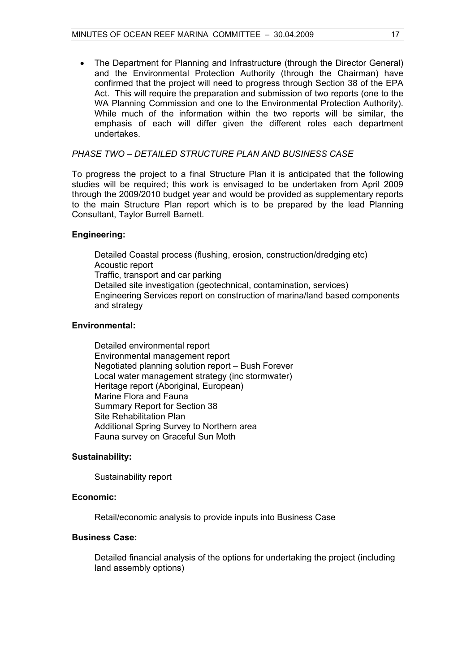• The Department for Planning and Infrastructure (through the Director General) and the Environmental Protection Authority (through the Chairman) have confirmed that the project will need to progress through Section 38 of the EPA Act. This will require the preparation and submission of two reports (one to the WA Planning Commission and one to the Environmental Protection Authority). While much of the information within the two reports will be similar, the emphasis of each will differ given the different roles each department undertakes.

#### *PHASE TWO – DETAILED STRUCTURE PLAN AND BUSINESS CASE*

To progress the project to a final Structure Plan it is anticipated that the following studies will be required; this work is envisaged to be undertaken from April 2009 through the 2009/2010 budget year and would be provided as supplementary reports to the main Structure Plan report which is to be prepared by the lead Planning Consultant, Taylor Burrell Barnett.

#### **Engineering:**

Detailed Coastal process (flushing, erosion, construction/dredging etc) Acoustic report Traffic, transport and car parking Detailed site investigation (geotechnical, contamination, services) Engineering Services report on construction of marina/land based components and strategy

#### **Environmental:**

 Detailed environmental report Environmental management report Negotiated planning solution report – Bush Forever Local water management strategy (inc stormwater) Heritage report (Aboriginal, European) Marine Flora and Fauna Summary Report for Section 38 Site Rehabilitation Plan Additional Spring Survey to Northern area Fauna survey on Graceful Sun Moth

#### **Sustainability:**

Sustainability report

#### **Economic:**

Retail/economic analysis to provide inputs into Business Case

#### **Business Case:**

Detailed financial analysis of the options for undertaking the project (including land assembly options)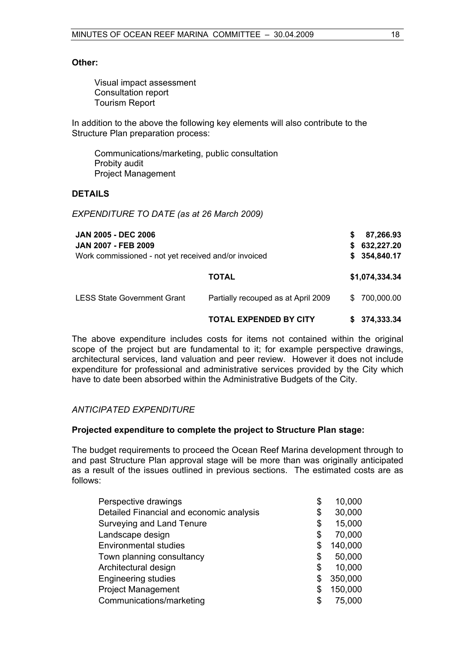#### **Other:**

 Visual impact assessment Consultation report Tourism Report

In addition to the above the following key elements will also contribute to the Structure Plan preparation process:

 Communications/marketing, public consultation Probity audit Project Management

#### **DETAILS**

*EXPENDITURE TO DATE (as at 26 March 2009)* 

| <b>JAN 2005 - DEC 2006</b><br><b>JAN 2007 - FEB 2009</b><br>Work commissioned - not yet received and/or invoiced |                                     | S<br>S.<br>S. | 87,266.93<br>632,227.20<br>354,840.17 |
|------------------------------------------------------------------------------------------------------------------|-------------------------------------|---------------|---------------------------------------|
|                                                                                                                  | <b>TOTAL</b>                        |               | \$1,074,334.34                        |
| <b>LESS State Government Grant</b>                                                                               | Partially recouped as at April 2009 | \$.           | 700,000.00                            |
|                                                                                                                  | <b>TOTAL EXPENDED BY CITY</b>       |               | \$374,333.34                          |

The above expenditure includes costs for items not contained within the original scope of the project but are fundamental to it; for example perspective drawings, architectural services, land valuation and peer review. However it does not include expenditure for professional and administrative services provided by the City which have to date been absorbed within the Administrative Budgets of the City.

#### *ANTICIPATED EXPENDITURE*

#### **Projected expenditure to complete the project to Structure Plan stage:**

The budget requirements to proceed the Ocean Reef Marina development through to and past Structure Plan approval stage will be more than was originally anticipated as a result of the issues outlined in previous sections. The estimated costs are as follows:

| Perspective drawings                     | \$ | 10,000  |
|------------------------------------------|----|---------|
| Detailed Financial and economic analysis | \$ | 30,000  |
| Surveying and Land Tenure                | \$ | 15,000  |
| Landscape design                         | \$ | 70,000  |
| <b>Environmental studies</b>             | \$ | 140,000 |
| Town planning consultancy                | \$ | 50,000  |
| Architectural design                     | \$ | 10,000  |
| <b>Engineering studies</b>               | \$ | 350,000 |
| <b>Project Management</b>                | S  | 150,000 |
| Communications/marketing                 | S  | 75,000  |
|                                          |    |         |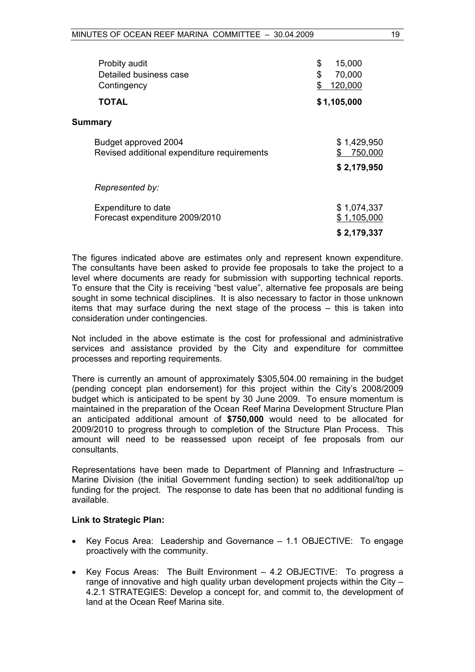| Probity audit<br>Detailed business case<br>Contingency              | \$<br>15,000<br>\$<br>70,000<br>120,000 |
|---------------------------------------------------------------------|-----------------------------------------|
| TOTAL                                                               | \$1,105,000                             |
| <b>Summary</b>                                                      |                                         |
| Budget approved 2004<br>Revised additional expenditure requirements | \$1,429,950<br>750,000                  |
|                                                                     | \$2,179,950                             |
| Represented by:                                                     |                                         |
| Expenditure to date<br>Forecast expenditure 2009/2010               | \$1,074,337<br>\$1,105,000              |
|                                                                     | \$2,179,337                             |

The figures indicated above are estimates only and represent known expenditure. The consultants have been asked to provide fee proposals to take the project to a level where documents are ready for submission with supporting technical reports. To ensure that the City is receiving "best value", alternative fee proposals are being sought in some technical disciplines. It is also necessary to factor in those unknown items that may surface during the next stage of the process – this is taken into consideration under contingencies.

Not included in the above estimate is the cost for professional and administrative services and assistance provided by the City and expenditure for committee processes and reporting requirements.

There is currently an amount of approximately \$305,504.00 remaining in the budget (pending concept plan endorsement) for this project within the City's 2008/2009 budget which is anticipated to be spent by 30 June 2009. To ensure momentum is maintained in the preparation of the Ocean Reef Marina Development Structure Plan an anticipated additional amount of **\$750,000** would need to be allocated for 2009/2010 to progress through to completion of the Structure Plan Process. This amount will need to be reassessed upon receipt of fee proposals from our consultants.

Representations have been made to Department of Planning and Infrastructure – Marine Division (the initial Government funding section) to seek additional/top up funding for the project. The response to date has been that no additional funding is available.

#### **Link to Strategic Plan:**

- Key Focus Area: Leadership and Governance 1.1 OBJECTIVE: To engage proactively with the community.
- Key Focus Areas: The Built Environment 4.2 OBJECTIVE: To progress a range of innovative and high quality urban development projects within the City  $-$ 4.2.1 STRATEGIES: Develop a concept for, and commit to, the development of land at the Ocean Reef Marina site.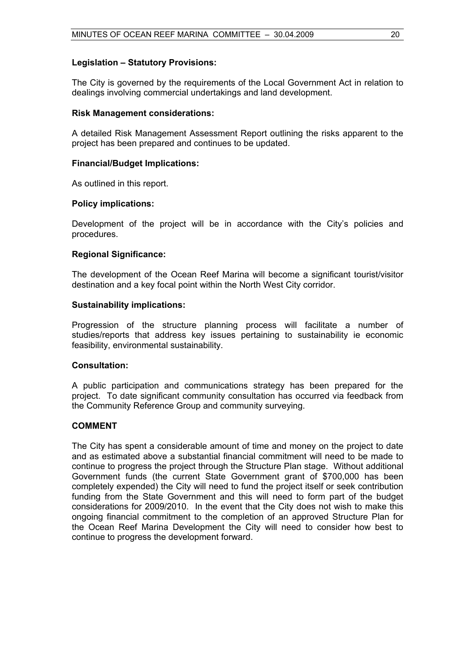#### **Legislation – Statutory Provisions:**

The City is governed by the requirements of the Local Government Act in relation to dealings involving commercial undertakings and land development.

#### **Risk Management considerations:**

A detailed Risk Management Assessment Report outlining the risks apparent to the project has been prepared and continues to be updated.

#### **Financial/Budget Implications:**

As outlined in this report.

#### **Policy implications:**

Development of the project will be in accordance with the City's policies and procedures.

#### **Regional Significance:**

The development of the Ocean Reef Marina will become a significant tourist/visitor destination and a key focal point within the North West City corridor.

#### **Sustainability implications:**

Progression of the structure planning process will facilitate a number of studies/reports that address key issues pertaining to sustainability ie economic feasibility, environmental sustainability.

#### **Consultation:**

A public participation and communications strategy has been prepared for the project. To date significant community consultation has occurred via feedback from the Community Reference Group and community surveying.

#### **COMMENT**

The City has spent a considerable amount of time and money on the project to date and as estimated above a substantial financial commitment will need to be made to continue to progress the project through the Structure Plan stage. Without additional Government funds (the current State Government grant of \$700,000 has been completely expended) the City will need to fund the project itself or seek contribution funding from the State Government and this will need to form part of the budget considerations for 2009/2010. In the event that the City does not wish to make this ongoing financial commitment to the completion of an approved Structure Plan for the Ocean Reef Marina Development the City will need to consider how best to continue to progress the development forward.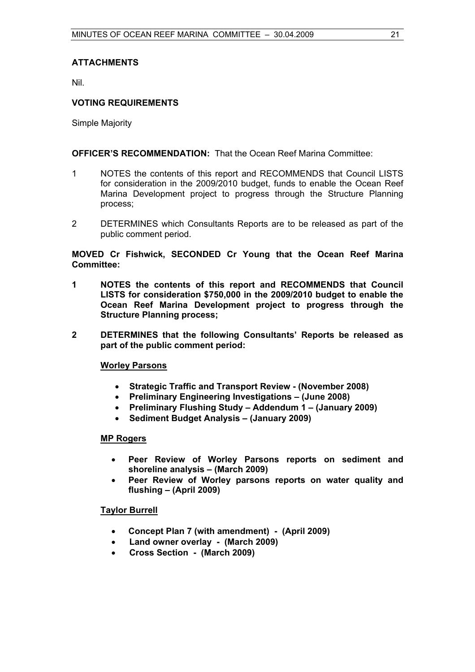#### **ATTACHMENTS**

Nil.

#### **VOTING REQUIREMENTS**

Simple Majority

#### **OFFICER'S RECOMMENDATION:** That the Ocean Reef Marina Committee:

- 1 NOTES the contents of this report and RECOMMENDS that Council LISTS for consideration in the 2009/2010 budget, funds to enable the Ocean Reef Marina Development project to progress through the Structure Planning process;
- 2 DETERMINES which Consultants Reports are to be released as part of the public comment period.

#### **MOVED Cr Fishwick, SECONDED Cr Young that the Ocean Reef Marina Committee:**

- **1 NOTES the contents of this report and RECOMMENDS that Council LISTS for consideration \$750,000 in the 2009/2010 budget to enable the Ocean Reef Marina Development project to progress through the Structure Planning process;**
- **2 DETERMINES that the following Consultants' Reports be released as part of the public comment period:**

#### **Worley Parsons**

- **Strategic Traffic and Transport Review (November 2008)**
- **Preliminary Engineering Investigations (June 2008)**
- **Preliminary Flushing Study Addendum 1 (January 2009)**
- **Sediment Budget Analysis (January 2009)**

#### **MP Rogers**

- **Peer Review of Worley Parsons reports on sediment and shoreline analysis – (March 2009)**
- **Peer Review of Worley parsons reports on water quality and flushing – (April 2009)**

#### **Taylor Burrell**

- **Concept Plan 7 (with amendment) (April 2009)**
- **Land owner overlay (March 2009)**
- **Cross Section (March 2009)**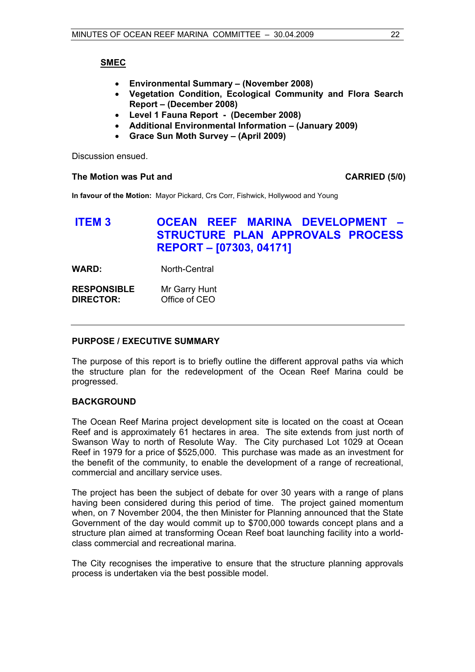### **SMEC**

- **Environmental Summary (November 2008)**
- **Vegetation Condition, Ecological Community and Flora Search Report – (December 2008)**
- **Level 1 Fauna Report (December 2008)**
- **Additional Environmental Information (January 2009)**
- **Grace Sun Moth Survey (April 2009)**

Discussion ensued.

#### **The Motion was Put and CARRIED (5/0) CARRIED (5/0)**

**In favour of the Motion:** Mayor Pickard, Crs Corr, Fishwick, Hollywood and Young

# **ITEM 3 OCEAN REEF MARINA DEVELOPMENT – STRUCTURE PLAN APPROVALS PROCESS REPORT – [07303, 04171]**

**WARD:** North-Central

**RESPONSIBLE** Mr Garry Hunt **DIRECTOR:** Office of CEO

#### **PURPOSE / EXECUTIVE SUMMARY**

The purpose of this report is to briefly outline the different approval paths via which the structure plan for the redevelopment of the Ocean Reef Marina could be progressed.

#### **BACKGROUND**

The Ocean Reef Marina project development site is located on the coast at Ocean Reef and is approximately 61 hectares in area. The site extends from just north of Swanson Way to north of Resolute Way. The City purchased Lot 1029 at Ocean Reef in 1979 for a price of \$525,000. This purchase was made as an investment for the benefit of the community, to enable the development of a range of recreational, commercial and ancillary service uses.

The project has been the subject of debate for over 30 years with a range of plans having been considered during this period of time. The project gained momentum when, on 7 November 2004, the then Minister for Planning announced that the State Government of the day would commit up to \$700,000 towards concept plans and a structure plan aimed at transforming Ocean Reef boat launching facility into a worldclass commercial and recreational marina.

The City recognises the imperative to ensure that the structure planning approvals process is undertaken via the best possible model.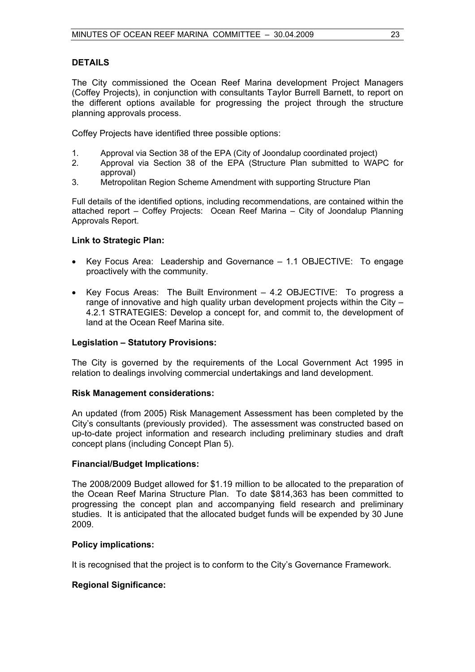#### **DETAILS**

The City commissioned the Ocean Reef Marina development Project Managers (Coffey Projects), in conjunction with consultants Taylor Burrell Barnett, to report on the different options available for progressing the project through the structure planning approvals process.

Coffey Projects have identified three possible options:

- 1. Approval via Section 38 of the EPA (City of Joondalup coordinated project)
- 2. Approval via Section 38 of the EPA (Structure Plan submitted to WAPC for approval)
- 3. Metropolitan Region Scheme Amendment with supporting Structure Plan

Full details of the identified options, including recommendations, are contained within the attached report – Coffey Projects: Ocean Reef Marina – City of Joondalup Planning Approvals Report.

#### **Link to Strategic Plan:**

- Key Focus Area: Leadership and Governance 1.1 OBJECTIVE: To engage proactively with the community.
- Key Focus Areas: The Built Environment 4.2 OBJECTIVE: To progress a range of innovative and high quality urban development projects within the City – 4.2.1 STRATEGIES: Develop a concept for, and commit to, the development of land at the Ocean Reef Marina site.

#### **Legislation – Statutory Provisions:**

The City is governed by the requirements of the Local Government Act 1995 in relation to dealings involving commercial undertakings and land development.

#### **Risk Management considerations:**

An updated (from 2005) Risk Management Assessment has been completed by the City's consultants (previously provided). The assessment was constructed based on up-to-date project information and research including preliminary studies and draft concept plans (including Concept Plan 5).

#### **Financial/Budget Implications:**

The 2008/2009 Budget allowed for \$1.19 million to be allocated to the preparation of the Ocean Reef Marina Structure Plan. To date \$814,363 has been committed to progressing the concept plan and accompanying field research and preliminary studies. It is anticipated that the allocated budget funds will be expended by 30 June 2009.

#### **Policy implications:**

It is recognised that the project is to conform to the City's Governance Framework.

#### **Regional Significance:**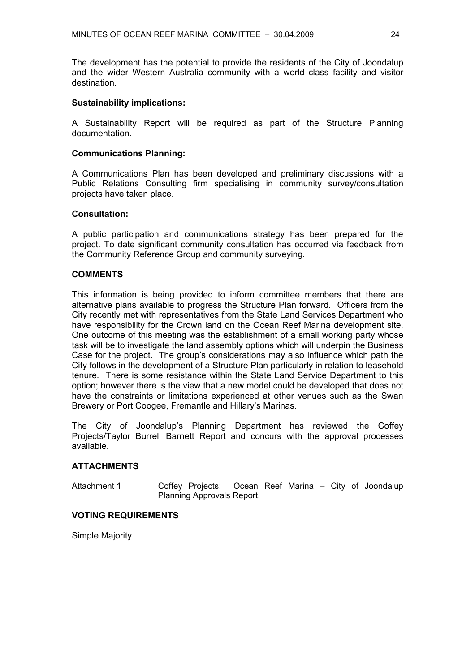The development has the potential to provide the residents of the City of Joondalup and the wider Western Australia community with a world class facility and visitor destination.

#### **Sustainability implications:**

A Sustainability Report will be required as part of the Structure Planning documentation.

#### **Communications Planning:**

A Communications Plan has been developed and preliminary discussions with a Public Relations Consulting firm specialising in community survey/consultation projects have taken place.

#### **Consultation:**

A public participation and communications strategy has been prepared for the project. To date significant community consultation has occurred via feedback from the Community Reference Group and community surveying.

#### **COMMENTS**

This information is being provided to inform committee members that there are alternative plans available to progress the Structure Plan forward. Officers from the City recently met with representatives from the State Land Services Department who have responsibility for the Crown land on the Ocean Reef Marina development site. One outcome of this meeting was the establishment of a small working party whose task will be to investigate the land assembly options which will underpin the Business Case for the project. The group's considerations may also influence which path the City follows in the development of a Structure Plan particularly in relation to leasehold tenure. There is some resistance within the State Land Service Department to this option; however there is the view that a new model could be developed that does not have the constraints or limitations experienced at other venues such as the Swan Brewery or Port Coogee, Fremantle and Hillary's Marinas.

The City of Joondalup's Planning Department has reviewed the Coffey Projects/Taylor Burrell Barnett Report and concurs with the approval processes available.

#### **ATTACHMENTS**

Attachment 1 Coffey Projects: Ocean Reef Marina – City of Joondalup Planning Approvals Report.

#### **VOTING REQUIREMENTS**

Simple Majority